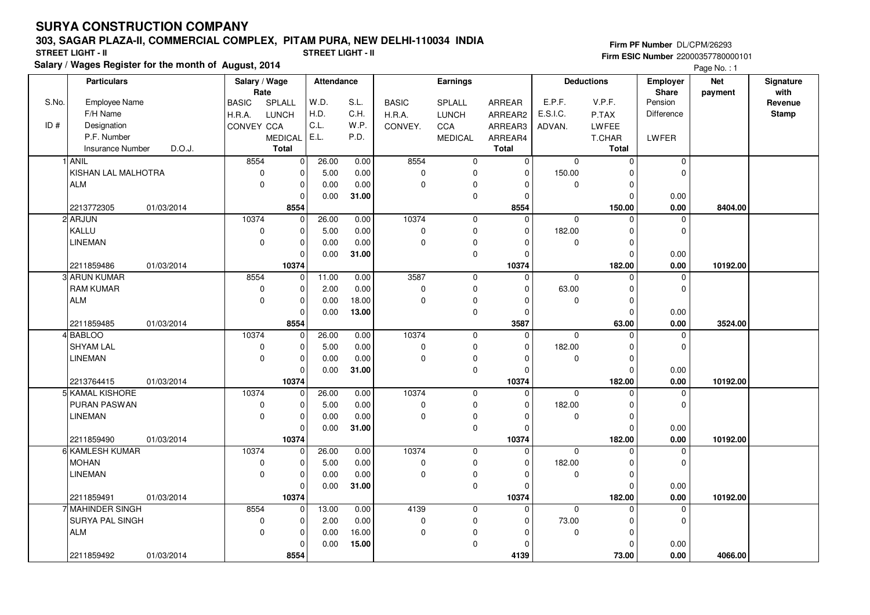## **SURYA CONSTRUCTION COMPANY**

## **303, SAGAR PLAZA-II, COMMERCIAL COMPLEX, PITAM PURA, NEW DELHI-110034 INDIA**

**Salary / Wages Register for the month of August, 2014 STREET LIGHT - II STREET LIGHT - II**

**Firm PF Number** DL/CPM/26293 **Firm ESIC Number** 22000357780000101

Page No. : 1

|       | <b>Particulars</b>                          | Salary / Wage<br>Rate |                            | Attendance   |       | <b>Earnings</b> |                |                         | <b>Deductions</b> |                    | <b>Employer</b><br>Share | <b>Net</b> | Signature<br>with |
|-------|---------------------------------------------|-----------------------|----------------------------|--------------|-------|-----------------|----------------|-------------------------|-------------------|--------------------|--------------------------|------------|-------------------|
| S.No. | Employee Name                               | <b>BASIC</b>          | SPLALL                     | W.D.         | S.L.  | <b>BASIC</b>    | SPLALL         | ARREAR                  | E.P.F.            | V.P.F.             | Pension                  | payment    | Revenue           |
|       | F/H Name                                    | H.R.A.                | <b>LUNCH</b>               | H.D.         | C.H.  | H.R.A.          | <b>LUNCH</b>   | ARREAR2                 | E.S.I.C.          | P.TAX              | Difference               |            | <b>Stamp</b>      |
| ID#   | Designation                                 | CONVEY CCA            |                            | C.L.         | W.P.  | CONVEY.         | CCA            | ARREAR3                 | ADVAN.            | LWFEE              |                          |            |                   |
|       | P.F. Number                                 |                       | <b>MEDICAL</b>             | E.L.         | P.D.  |                 | <b>MEDICAL</b> | ARREAR4                 |                   | T.CHAR             | LWFER                    |            |                   |
|       | D.O.J.<br>Insurance Number                  |                       | <b>Total</b>               |              |       |                 |                | <b>Total</b>            |                   | Total              |                          |            |                   |
|       | 1 ANIL                                      | 8554                  | $\mathbf 0$                | 26.00        | 0.00  | 8554            | 0              | 0                       | $\mathbf 0$       | $\Omega$           | 0                        |            |                   |
|       | KISHAN LAL MALHOTRA                         | $\mathbf 0$           | $\mathbf 0$                | 5.00         | 0.00  | 0               | 0              | $\Omega$                | 150.00            | O                  | $\mathbf 0$              |            |                   |
|       | <b>ALM</b>                                  | $\mathbf 0$           | $\mathbf 0$                | 0.00         | 0.00  | $\mathbf 0$     | 0              | $\Omega$                | $\mathbf 0$       | $\Omega$           |                          |            |                   |
|       |                                             |                       | $\Omega$                   | 0.00         | 31.00 |                 | $\pmb{0}$      | $\Omega$                |                   | O                  | 0.00                     |            |                   |
|       | 2213772305<br>01/03/2014                    |                       | 8554                       |              |       |                 |                | 8554                    |                   | 150.00             | 0.00                     | 8404.00    |                   |
|       | 2 ARJUN                                     | 10374                 | $\mathbf 0$                | 26.00        | 0.00  | 10374           | $\mathbf 0$    | $\Omega$                | 0                 | $\Omega$           | 0                        |            |                   |
|       | KALLU                                       | $\pmb{0}$             | $\mathbf 0$                | 5.00         | 0.00  | $\mathbf 0$     | 0              | $\Omega$                | 182.00            | ŋ                  | $\mathbf 0$              |            |                   |
|       | <b>LINEMAN</b>                              | $\mathbf 0$           | $\mathbf 0$                | 0.00         | 0.00  | $\Omega$        | 0              | O                       | $\mathbf 0$       |                    |                          |            |                   |
|       |                                             |                       | $\mathbf 0$                | 0.00         | 31.00 |                 | 0              | $\Omega$                |                   | $\Omega$           | 0.00                     |            |                   |
|       | 2211859486<br>01/03/2014                    |                       | 10374                      |              |       |                 |                | 10374                   |                   | 182.00             | 0.00                     | 10192.00   |                   |
|       | 3 ARUN KUMAR                                | 8554                  | $\mathbf 0$                | 11.00        | 0.00  | 3587            | $\mathbf 0$    | $\mathbf 0$             | $\mathbf 0$       | $\Omega$           | 0                        |            |                   |
|       | <b>RAM KUMAR</b>                            | $\pmb{0}$             | $\mathbf 0$                | 2.00         | 0.00  | $\mathbf 0$     | 0              | $\Omega$                | 63.00             |                    | $\mathbf 0$              |            |                   |
|       | ALM                                         | $\mathbf 0$           | $\mathbf 0$                | 0.00         | 18.00 | $\Omega$        | 0              | $\Omega$                | $\mathbf 0$       | $\Omega$           |                          |            |                   |
|       |                                             |                       | $\mathbf 0$                | 0.00         | 13.00 |                 | $\mathbf 0$    | $\Omega$                |                   | $\Omega$           | 0.00                     |            |                   |
|       | 2211859485<br>01/03/2014                    |                       | 8554                       |              |       |                 |                | 3587                    |                   | 63.00              | $0.00\,$                 | 3524.00    |                   |
|       | 4 BABLOO                                    | 10374                 | $\mathbf 0$                | 26.00        | 0.00  | 10374           | 0              | $\Omega$                | $\Omega$          | $\Omega$           | $\mathbf 0$              |            |                   |
|       | <b>SHYAM LAL</b>                            | $\pmb{0}$             | $\mathbf 0$                | 5.00         | 0.00  | 0               | 0              | $\Omega$                | 182.00            | O                  | $\mathbf 0$              |            |                   |
|       | <b>LINEMAN</b>                              | $\mathbf 0$           | $\mathbf 0$                | 0.00         | 0.00  | $\mathbf 0$     | 0              |                         | $\mathbf 0$       |                    |                          |            |                   |
|       |                                             |                       | $\Omega$                   | 0.00         | 31.00 |                 | $\mathbf 0$    | $\Omega$                |                   |                    | 0.00                     |            |                   |
|       | 2213764415<br>01/03/2014                    |                       | 10374                      |              |       |                 |                | 10374                   |                   | 182.00             | 0.00                     | 10192.00   |                   |
|       | 5 KAMAL KISHORE                             | 10374                 | 0                          | 26.00        | 0.00  | 10374           | 0              | $\Omega$                | $\Omega$          |                    | 0                        |            |                   |
|       | PURAN PASWAN                                | $\mathbf 0$           | $\mathbf 0$                | 5.00         | 0.00  | $\pmb{0}$       | $\mathbf 0$    | $\Omega$                | 182.00            |                    | $\mathbf 0$              |            |                   |
|       | LINEMAN                                     | $\mathbf 0$           | $\mathbf 0$                | 0.00         | 0.00  | $\Omega$        | 0              | $\Omega$                | 0                 | $\Omega$           |                          |            |                   |
|       |                                             |                       | $\Omega$                   | 0.00         | 31.00 |                 | 0              | $\Omega$                |                   | <sup>0</sup>       | 0.00                     |            |                   |
|       | 2211859490<br>01/03/2014<br>6 KAMLESH KUMAR | 10374                 | 10374                      |              |       | 10374           |                | 10374                   |                   | 182.00<br>$\Omega$ | 0.00                     | 10192.00   |                   |
|       | <b>MOHAN</b>                                |                       | $\mathbf 0$                | 26.00        | 0.00  |                 | 0<br>0         | $\mathbf 0$<br>$\Omega$ | $\mathbf 0$       | O                  | 0<br>$\mathbf 0$         |            |                   |
|       |                                             | 0                     | $\mathbf 0$                | 5.00         | 0.00  | $\mathbf 0$     |                |                         | 182.00            |                    |                          |            |                   |
|       | <b>LINEMAN</b>                              | $\mathbf 0$           | $\mathbf 0$<br>$\mathbf 0$ | 0.00<br>0.00 | 0.00  | $\pmb{0}$       | 0<br>0         | $\Omega$<br>$\Omega$    | 0                 | $\Omega$<br>O      |                          |            |                   |
|       | 01/03/2014                                  |                       | 10374                      |              | 31.00 |                 |                |                         |                   |                    | 0.00                     |            |                   |
|       | 2211859491<br>7 MAHINDER SINGH              | 8554                  | 0                          | 13.00        | 0.00  | 4139            | $\mathbf 0$    | 10374<br>$\mathbf 0$    | $\mathbf 0$       | 182.00<br>$\Omega$ | 0.00<br>$\mathbf 0$      | 10192.00   |                   |
|       | <b>SURYA PAL SINGH</b>                      | $\mathbf 0$           | $\mathbf 0$                | 2.00         | 0.00  | $\mathbf 0$     | 0              | $\Omega$                | 73.00             | n                  | $\mathbf 0$              |            |                   |
|       | <b>ALM</b>                                  | $\mathbf 0$           | $\mathbf 0$                | 0.00         | 16.00 | $\mathbf 0$     | 0              | 0                       | $\mathbf 0$       | O                  |                          |            |                   |
|       |                                             |                       | $\Omega$                   | 0.00         | 15.00 |                 | 0              |                         |                   |                    | 0.00                     |            |                   |
|       | 01/03/2014<br>2211859492                    |                       | 8554                       |              |       |                 |                | 4139                    |                   | 73.00              | 0.00                     | 4066.00    |                   |
|       |                                             |                       |                            |              |       |                 |                |                         |                   |                    |                          |            |                   |